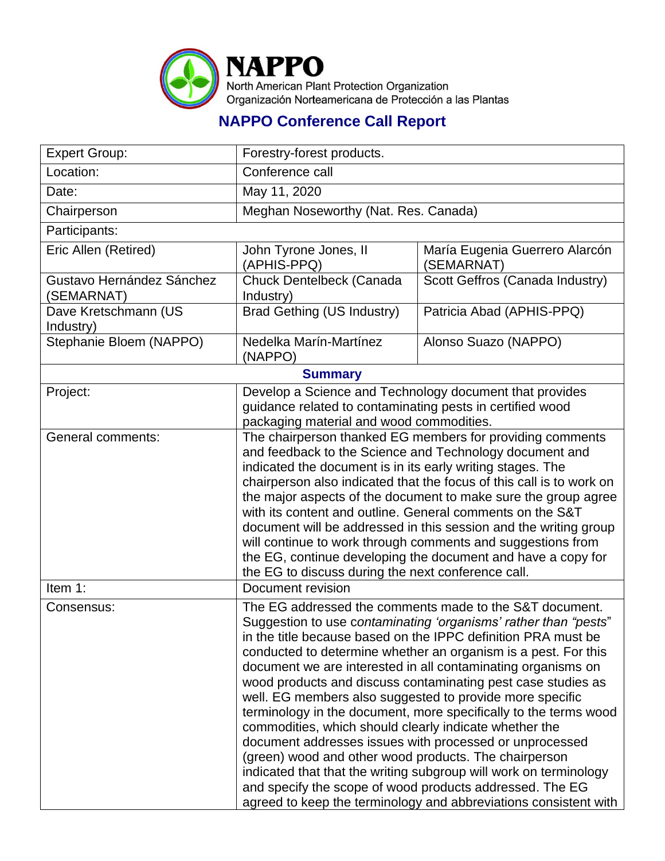

## **NAPPO Conference Call Report**

| <b>Expert Group:</b>                    | Forestry-forest products.                                                                                                                                                                                                                                                                                                                                                                                                                                                                                                                                                                                                                                                                                                                                                                                                                                                                                        |                                              |  |
|-----------------------------------------|------------------------------------------------------------------------------------------------------------------------------------------------------------------------------------------------------------------------------------------------------------------------------------------------------------------------------------------------------------------------------------------------------------------------------------------------------------------------------------------------------------------------------------------------------------------------------------------------------------------------------------------------------------------------------------------------------------------------------------------------------------------------------------------------------------------------------------------------------------------------------------------------------------------|----------------------------------------------|--|
| Location:                               | Conference call                                                                                                                                                                                                                                                                                                                                                                                                                                                                                                                                                                                                                                                                                                                                                                                                                                                                                                  |                                              |  |
| Date:                                   | May 11, 2020                                                                                                                                                                                                                                                                                                                                                                                                                                                                                                                                                                                                                                                                                                                                                                                                                                                                                                     |                                              |  |
| Chairperson                             | Meghan Noseworthy (Nat. Res. Canada)                                                                                                                                                                                                                                                                                                                                                                                                                                                                                                                                                                                                                                                                                                                                                                                                                                                                             |                                              |  |
| Participants:                           |                                                                                                                                                                                                                                                                                                                                                                                                                                                                                                                                                                                                                                                                                                                                                                                                                                                                                                                  |                                              |  |
| Eric Allen (Retired)                    | John Tyrone Jones, II<br>(APHIS-PPQ)                                                                                                                                                                                                                                                                                                                                                                                                                                                                                                                                                                                                                                                                                                                                                                                                                                                                             | María Eugenia Guerrero Alarcón<br>(SEMARNAT) |  |
| Gustavo Hernández Sánchez<br>(SEMARNAT) | Chuck Dentelbeck (Canada<br>Industry)                                                                                                                                                                                                                                                                                                                                                                                                                                                                                                                                                                                                                                                                                                                                                                                                                                                                            | Scott Geffros (Canada Industry)              |  |
| Dave Kretschmann (US<br>Industry)       | <b>Brad Gething (US Industry)</b>                                                                                                                                                                                                                                                                                                                                                                                                                                                                                                                                                                                                                                                                                                                                                                                                                                                                                | Patricia Abad (APHIS-PPQ)                    |  |
| Stephanie Bloem (NAPPO)                 | Nedelka Marín-Martínez<br>(NAPPO)                                                                                                                                                                                                                                                                                                                                                                                                                                                                                                                                                                                                                                                                                                                                                                                                                                                                                | Alonso Suazo (NAPPO)                         |  |
| <b>Summary</b>                          |                                                                                                                                                                                                                                                                                                                                                                                                                                                                                                                                                                                                                                                                                                                                                                                                                                                                                                                  |                                              |  |
| Project:                                | Develop a Science and Technology document that provides<br>guidance related to contaminating pests in certified wood<br>packaging material and wood commodities.                                                                                                                                                                                                                                                                                                                                                                                                                                                                                                                                                                                                                                                                                                                                                 |                                              |  |
| General comments:                       | The chairperson thanked EG members for providing comments<br>and feedback to the Science and Technology document and<br>indicated the document is in its early writing stages. The<br>chairperson also indicated that the focus of this call is to work on<br>the major aspects of the document to make sure the group agree<br>with its content and outline. General comments on the S&T<br>document will be addressed in this session and the writing group<br>will continue to work through comments and suggestions from<br>the EG, continue developing the document and have a copy for<br>the EG to discuss during the next conference call.                                                                                                                                                                                                                                                               |                                              |  |
| Item 1:                                 | Document revision                                                                                                                                                                                                                                                                                                                                                                                                                                                                                                                                                                                                                                                                                                                                                                                                                                                                                                |                                              |  |
| Consensus:                              | The EG addressed the comments made to the S&T document.<br>Suggestion to use contaminating 'organisms' rather than "pests"<br>in the title because based on the IPPC definition PRA must be<br>conducted to determine whether an organism is a pest. For this<br>document we are interested in all contaminating organisms on<br>wood products and discuss contaminating pest case studies as<br>well. EG members also suggested to provide more specific<br>terminology in the document, more specifically to the terms wood<br>commodities, which should clearly indicate whether the<br>document addresses issues with processed or unprocessed<br>(green) wood and other wood products. The chairperson<br>indicated that that the writing subgroup will work on terminology<br>and specify the scope of wood products addressed. The EG<br>agreed to keep the terminology and abbreviations consistent with |                                              |  |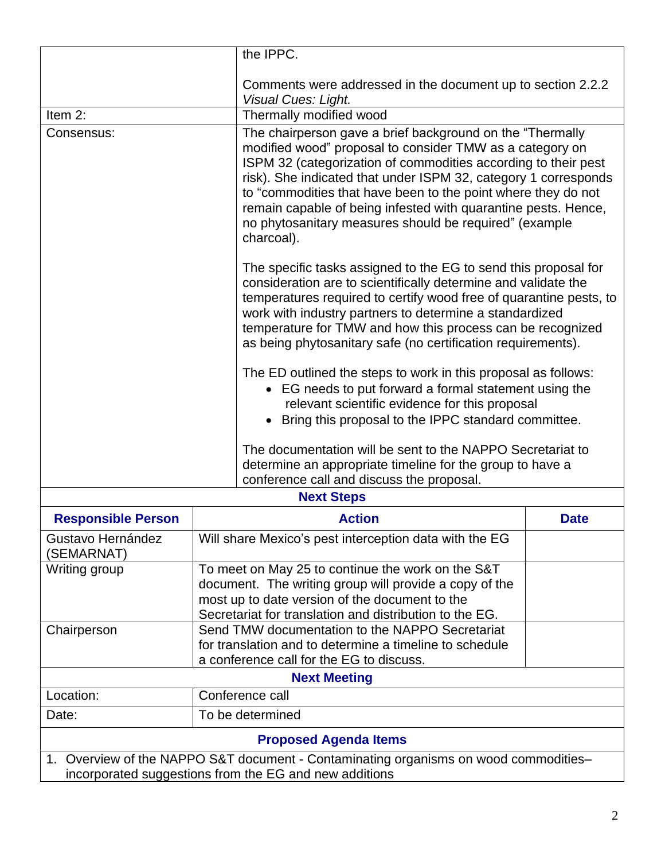|                                                                                                                                                                                                                                                                                                                                                                                                                                                                                                                                                                                                                                                                                                                                                                    | the IPPC.                                                                                                                                                                                                                |                                                                                                                                                                                                                                                                                                                                                                                                                                                         |  |  |
|--------------------------------------------------------------------------------------------------------------------------------------------------------------------------------------------------------------------------------------------------------------------------------------------------------------------------------------------------------------------------------------------------------------------------------------------------------------------------------------------------------------------------------------------------------------------------------------------------------------------------------------------------------------------------------------------------------------------------------------------------------------------|--------------------------------------------------------------------------------------------------------------------------------------------------------------------------------------------------------------------------|---------------------------------------------------------------------------------------------------------------------------------------------------------------------------------------------------------------------------------------------------------------------------------------------------------------------------------------------------------------------------------------------------------------------------------------------------------|--|--|
|                                                                                                                                                                                                                                                                                                                                                                                                                                                                                                                                                                                                                                                                                                                                                                    | Visual Cues: Light.                                                                                                                                                                                                      | Comments were addressed in the document up to section 2.2.2                                                                                                                                                                                                                                                                                                                                                                                             |  |  |
| Item $2$ :                                                                                                                                                                                                                                                                                                                                                                                                                                                                                                                                                                                                                                                                                                                                                         | Thermally modified wood                                                                                                                                                                                                  |                                                                                                                                                                                                                                                                                                                                                                                                                                                         |  |  |
| Consensus:                                                                                                                                                                                                                                                                                                                                                                                                                                                                                                                                                                                                                                                                                                                                                         | charcoal).                                                                                                                                                                                                               | The chairperson gave a brief background on the "Thermally<br>modified wood" proposal to consider TMW as a category on<br>ISPM 32 (categorization of commodities according to their pest<br>risk). She indicated that under ISPM 32, category 1 corresponds<br>to "commodities that have been to the point where they do not<br>remain capable of being infested with quarantine pests. Hence,<br>no phytosanitary measures should be required" (example |  |  |
| The specific tasks assigned to the EG to send this proposal for<br>consideration are to scientifically determine and validate the<br>temperatures required to certify wood free of quarantine pests, to<br>work with industry partners to determine a standardized<br>temperature for TMW and how this process can be recognized<br>as being phytosanitary safe (no certification requirements).<br>The ED outlined the steps to work in this proposal as follows:<br>• EG needs to put forward a formal statement using the<br>relevant scientific evidence for this proposal<br>• Bring this proposal to the IPPC standard committee.<br>The documentation will be sent to the NAPPO Secretariat to<br>determine an appropriate timeline for the group to have a |                                                                                                                                                                                                                          |                                                                                                                                                                                                                                                                                                                                                                                                                                                         |  |  |
| conference call and discuss the proposal.                                                                                                                                                                                                                                                                                                                                                                                                                                                                                                                                                                                                                                                                                                                          |                                                                                                                                                                                                                          |                                                                                                                                                                                                                                                                                                                                                                                                                                                         |  |  |
| <b>Next Steps</b>                                                                                                                                                                                                                                                                                                                                                                                                                                                                                                                                                                                                                                                                                                                                                  |                                                                                                                                                                                                                          |                                                                                                                                                                                                                                                                                                                                                                                                                                                         |  |  |
| <b>Responsible Person</b>                                                                                                                                                                                                                                                                                                                                                                                                                                                                                                                                                                                                                                                                                                                                          | <b>Action</b>                                                                                                                                                                                                            | <b>Date</b>                                                                                                                                                                                                                                                                                                                                                                                                                                             |  |  |
| Gustavo Hernández<br>(SEMARNAT)                                                                                                                                                                                                                                                                                                                                                                                                                                                                                                                                                                                                                                                                                                                                    | Will share Mexico's pest interception data with the EG                                                                                                                                                                   |                                                                                                                                                                                                                                                                                                                                                                                                                                                         |  |  |
| Writing group                                                                                                                                                                                                                                                                                                                                                                                                                                                                                                                                                                                                                                                                                                                                                      | To meet on May 25 to continue the work on the S&T<br>document. The writing group will provide a copy of the<br>most up to date version of the document to the<br>Secretariat for translation and distribution to the EG. |                                                                                                                                                                                                                                                                                                                                                                                                                                                         |  |  |
| Chairperson                                                                                                                                                                                                                                                                                                                                                                                                                                                                                                                                                                                                                                                                                                                                                        | Send TMW documentation to the NAPPO Secretariat<br>for translation and to determine a timeline to schedule<br>a conference call for the EG to discuss.                                                                   |                                                                                                                                                                                                                                                                                                                                                                                                                                                         |  |  |
| <b>Next Meeting</b>                                                                                                                                                                                                                                                                                                                                                                                                                                                                                                                                                                                                                                                                                                                                                |                                                                                                                                                                                                                          |                                                                                                                                                                                                                                                                                                                                                                                                                                                         |  |  |
| Location:                                                                                                                                                                                                                                                                                                                                                                                                                                                                                                                                                                                                                                                                                                                                                          | Conference call                                                                                                                                                                                                          |                                                                                                                                                                                                                                                                                                                                                                                                                                                         |  |  |
| Date:                                                                                                                                                                                                                                                                                                                                                                                                                                                                                                                                                                                                                                                                                                                                                              | To be determined                                                                                                                                                                                                         |                                                                                                                                                                                                                                                                                                                                                                                                                                                         |  |  |
| <b>Proposed Agenda Items</b>                                                                                                                                                                                                                                                                                                                                                                                                                                                                                                                                                                                                                                                                                                                                       |                                                                                                                                                                                                                          |                                                                                                                                                                                                                                                                                                                                                                                                                                                         |  |  |
| 1. Overview of the NAPPO S&T document - Contaminating organisms on wood commodities-                                                                                                                                                                                                                                                                                                                                                                                                                                                                                                                                                                                                                                                                               |                                                                                                                                                                                                                          |                                                                                                                                                                                                                                                                                                                                                                                                                                                         |  |  |
| incorporated suggestions from the EG and new additions                                                                                                                                                                                                                                                                                                                                                                                                                                                                                                                                                                                                                                                                                                             |                                                                                                                                                                                                                          |                                                                                                                                                                                                                                                                                                                                                                                                                                                         |  |  |